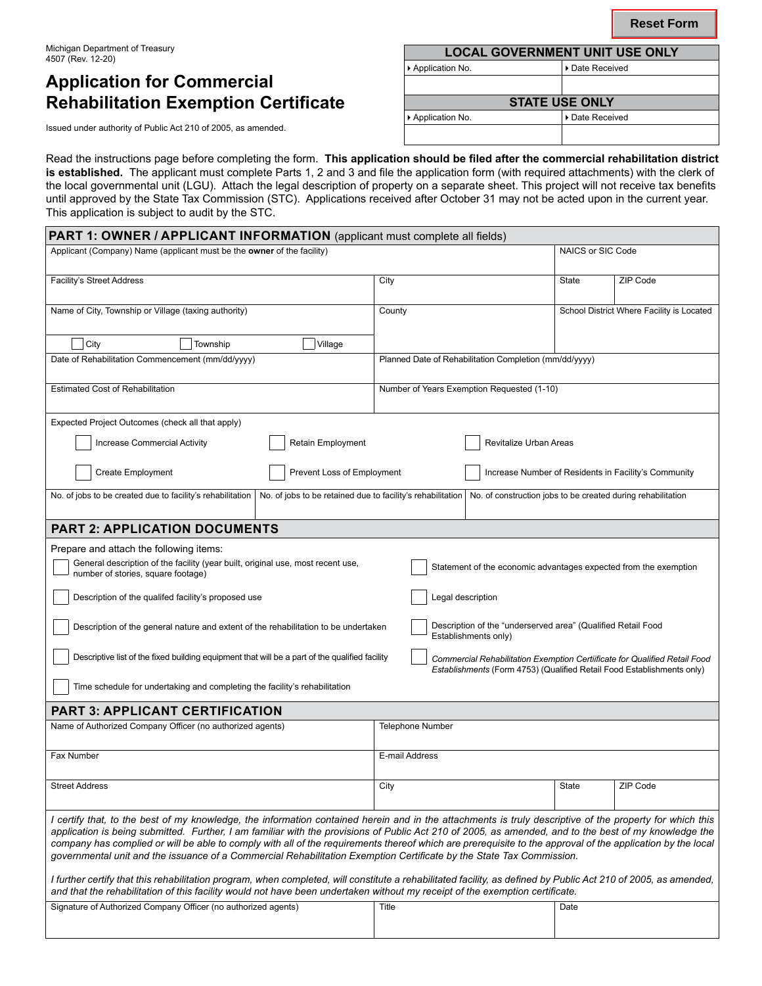## **Application for Commercial Rehabilitation Exemption Certificate**

| Michigan Department of Treasury<br>4507 (Rev. 12-20)          | <b>LOCAL GOVERNMENT UNIT USE ONLY</b> |                       |  |  |
|---------------------------------------------------------------|---------------------------------------|-----------------------|--|--|
|                                                               | Application No.                       | Date Received         |  |  |
| <b>Application for Commercial</b>                             |                                       |                       |  |  |
| <b>Rehabilitation Exemption Certificate</b>                   |                                       | <b>STATE USE ONLY</b> |  |  |
| Issued under authority of Public Act 210 of 2005, as amended. | Application No.                       | l ▶ Date Received     |  |  |
|                                                               |                                       |                       |  |  |
|                                                               |                                       |                       |  |  |

Read the instructions page before completing the form. **This application should be filed after the commercial rehabilitation district is established.** The applicant must complete Parts 1, 2 and 3 and file the application form (with required attachments) with the clerk of the local governmental unit (LGU). Attach the legal description of property on a separate sheet. This project will not receive tax benefits until approved by the State Tax Commission (STC). Applications received after October 31 may not be acted upon in the current year. This application is subject to audit by the STC.

| <b>PART 1: OWNER / APPLICANT INFORMATION</b> (applicant must complete all fields)                                                                                                                                                                                                                                                                                                                                                                                                                                                                                                                                                                                                                                                                                                                                                                                                                          |                                                                                                                                                      |              |                                           |  |  |  |  |
|------------------------------------------------------------------------------------------------------------------------------------------------------------------------------------------------------------------------------------------------------------------------------------------------------------------------------------------------------------------------------------------------------------------------------------------------------------------------------------------------------------------------------------------------------------------------------------------------------------------------------------------------------------------------------------------------------------------------------------------------------------------------------------------------------------------------------------------------------------------------------------------------------------|------------------------------------------------------------------------------------------------------------------------------------------------------|--------------|-------------------------------------------|--|--|--|--|
| Applicant (Company) Name (applicant must be the owner of the facility)                                                                                                                                                                                                                                                                                                                                                                                                                                                                                                                                                                                                                                                                                                                                                                                                                                     |                                                                                                                                                      |              | NAICS or SIC Code                         |  |  |  |  |
| <b>Facility's Street Address</b>                                                                                                                                                                                                                                                                                                                                                                                                                                                                                                                                                                                                                                                                                                                                                                                                                                                                           | City                                                                                                                                                 | State        | ZIP Code                                  |  |  |  |  |
| Name of City, Township or Village (taxing authority)                                                                                                                                                                                                                                                                                                                                                                                                                                                                                                                                                                                                                                                                                                                                                                                                                                                       | County                                                                                                                                               |              | School District Where Facility is Located |  |  |  |  |
| City<br>Village<br>Township                                                                                                                                                                                                                                                                                                                                                                                                                                                                                                                                                                                                                                                                                                                                                                                                                                                                                |                                                                                                                                                      |              |                                           |  |  |  |  |
| Date of Rehabilitation Commencement (mm/dd/yyyy)                                                                                                                                                                                                                                                                                                                                                                                                                                                                                                                                                                                                                                                                                                                                                                                                                                                           | Planned Date of Rehabilitation Completion (mm/dd/yyyy)                                                                                               |              |                                           |  |  |  |  |
| <b>Estimated Cost of Rehabilitation</b>                                                                                                                                                                                                                                                                                                                                                                                                                                                                                                                                                                                                                                                                                                                                                                                                                                                                    | Number of Years Exemption Requested (1-10)                                                                                                           |              |                                           |  |  |  |  |
| Expected Project Outcomes (check all that apply)                                                                                                                                                                                                                                                                                                                                                                                                                                                                                                                                                                                                                                                                                                                                                                                                                                                           |                                                                                                                                                      |              |                                           |  |  |  |  |
| <b>Increase Commercial Activity</b><br><b>Retain Employment</b>                                                                                                                                                                                                                                                                                                                                                                                                                                                                                                                                                                                                                                                                                                                                                                                                                                            | Revitalize Urban Areas                                                                                                                               |              |                                           |  |  |  |  |
| <b>Create Employment</b><br>Prevent Loss of Employment                                                                                                                                                                                                                                                                                                                                                                                                                                                                                                                                                                                                                                                                                                                                                                                                                                                     | Increase Number of Residents in Facility's Community                                                                                                 |              |                                           |  |  |  |  |
| No. of jobs to be created due to facility's rehabilitation<br>No. of jobs to be retained due to facility's rehabilitation                                                                                                                                                                                                                                                                                                                                                                                                                                                                                                                                                                                                                                                                                                                                                                                  | No. of construction jobs to be created during rehabilitation                                                                                         |              |                                           |  |  |  |  |
| <b>PART 2: APPLICATION DOCUMENTS</b>                                                                                                                                                                                                                                                                                                                                                                                                                                                                                                                                                                                                                                                                                                                                                                                                                                                                       |                                                                                                                                                      |              |                                           |  |  |  |  |
| Prepare and attach the following items:                                                                                                                                                                                                                                                                                                                                                                                                                                                                                                                                                                                                                                                                                                                                                                                                                                                                    |                                                                                                                                                      |              |                                           |  |  |  |  |
| General description of the facility (year built, original use, most recent use,<br>Statement of the economic advantages expected from the exemption<br>number of stories, square footage)                                                                                                                                                                                                                                                                                                                                                                                                                                                                                                                                                                                                                                                                                                                  |                                                                                                                                                      |              |                                           |  |  |  |  |
| Description of the qualifed facility's proposed use                                                                                                                                                                                                                                                                                                                                                                                                                                                                                                                                                                                                                                                                                                                                                                                                                                                        | Legal description                                                                                                                                    |              |                                           |  |  |  |  |
| Description of the "underserved area" (Qualified Retail Food<br>Description of the general nature and extent of the rehabilitation to be undertaken<br>Establishments only)                                                                                                                                                                                                                                                                                                                                                                                                                                                                                                                                                                                                                                                                                                                                |                                                                                                                                                      |              |                                           |  |  |  |  |
| Descriptive list of the fixed building equipment that will be a part of the qualified facility                                                                                                                                                                                                                                                                                                                                                                                                                                                                                                                                                                                                                                                                                                                                                                                                             | Commercial Rehabilitation Exemption Certiificate for Qualified Retail Food<br>Establishments (Form 4753) (Qualified Retail Food Establishments only) |              |                                           |  |  |  |  |
| Time schedule for undertaking and completing the facility's rehabilitation                                                                                                                                                                                                                                                                                                                                                                                                                                                                                                                                                                                                                                                                                                                                                                                                                                 |                                                                                                                                                      |              |                                           |  |  |  |  |
| <b>PART 3: APPLICANT CERTIFICATION</b>                                                                                                                                                                                                                                                                                                                                                                                                                                                                                                                                                                                                                                                                                                                                                                                                                                                                     |                                                                                                                                                      |              |                                           |  |  |  |  |
| Name of Authorized Company Officer (no authorized agents)                                                                                                                                                                                                                                                                                                                                                                                                                                                                                                                                                                                                                                                                                                                                                                                                                                                  | <b>Telephone Number</b>                                                                                                                              |              |                                           |  |  |  |  |
| Fax Number                                                                                                                                                                                                                                                                                                                                                                                                                                                                                                                                                                                                                                                                                                                                                                                                                                                                                                 | E-mail Address                                                                                                                                       |              |                                           |  |  |  |  |
| <b>Street Address</b>                                                                                                                                                                                                                                                                                                                                                                                                                                                                                                                                                                                                                                                                                                                                                                                                                                                                                      | City                                                                                                                                                 | <b>State</b> | ZIP Code                                  |  |  |  |  |
| I certify that, to the best of my knowledge, the information contained herein and in the attachments is truly descriptive of the property for which this<br>application is being submitted. Further, I am familiar with the provisions of Public Act 210 of 2005, as amended, and to the best of my knowledge the<br>company has complied or will be able to comply with all of the requirements thereof which are prerequisite to the approval of the application by the local<br>governmental unit and the issuance of a Commercial Rehabilitation Exemption Certificate by the State Tax Commission.<br>I further certify that this rehabilitation program, when completed, will constitute a rehabilitated facility, as defined by Public Act 210 of 2005, as amended,<br>and that the rehabilitation of this facility would not have been undertaken without my receipt of the exemption certificate. |                                                                                                                                                      |              |                                           |  |  |  |  |
| Signature of Authorized Company Officer (no authorized agents)                                                                                                                                                                                                                                                                                                                                                                                                                                                                                                                                                                                                                                                                                                                                                                                                                                             | Title                                                                                                                                                | Date         |                                           |  |  |  |  |
|                                                                                                                                                                                                                                                                                                                                                                                                                                                                                                                                                                                                                                                                                                                                                                                                                                                                                                            |                                                                                                                                                      |              |                                           |  |  |  |  |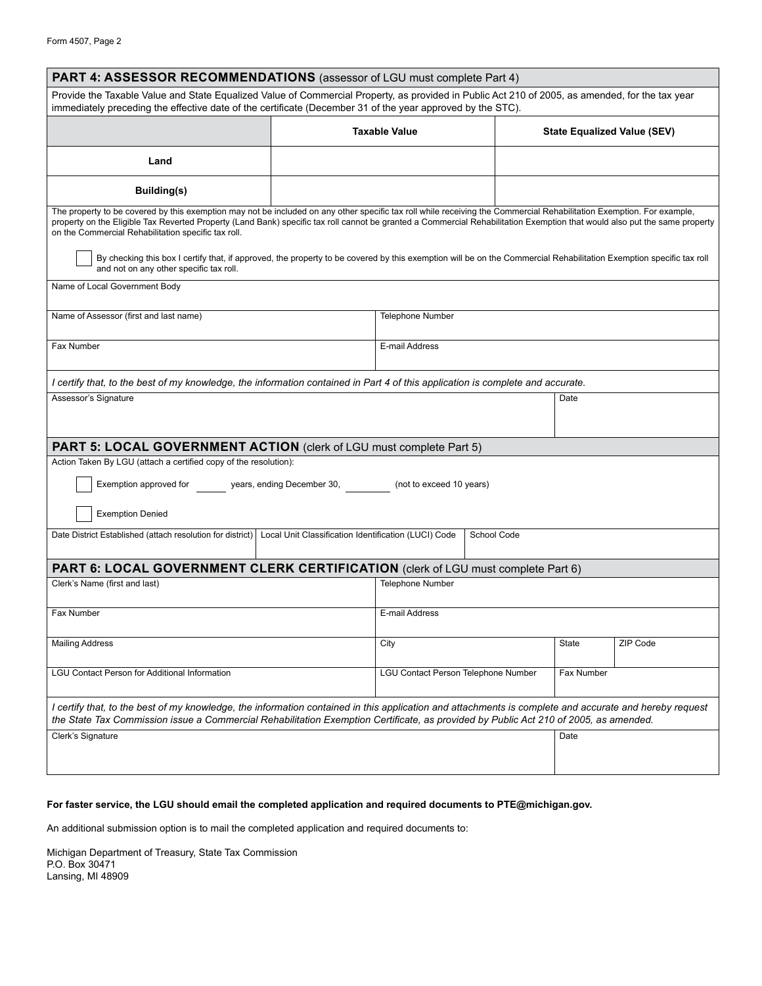| PART 4: ASSESSOR RECOMMENDATIONS (assessor of LGU must complete Part 4)                                                                                                                                                                                                                                                                                                                                    |                  |                                     |      |                             |          |  |  |
|------------------------------------------------------------------------------------------------------------------------------------------------------------------------------------------------------------------------------------------------------------------------------------------------------------------------------------------------------------------------------------------------------------|------------------|-------------------------------------|------|-----------------------------|----------|--|--|
| Provide the Taxable Value and State Equalized Value of Commercial Property, as provided in Public Act 210 of 2005, as amended, for the tax year<br>immediately preceding the effective date of the certificate (December 31 of the year approved by the STC).                                                                                                                                              |                  |                                     |      |                             |          |  |  |
|                                                                                                                                                                                                                                                                                                                                                                                                            |                  | <b>Taxable Value</b>                |      | State Equalized Value (SEV) |          |  |  |
| Land                                                                                                                                                                                                                                                                                                                                                                                                       |                  |                                     |      |                             |          |  |  |
| Building(s)                                                                                                                                                                                                                                                                                                                                                                                                |                  |                                     |      |                             |          |  |  |
| The property to be covered by this exemption may not be included on any other specific tax roll while receiving the Commercial Rehabilitation Exemption. For example,<br>property on the Eligible Tax Reverted Property (Land Bank) specific tax roll cannot be granted a Commercial Rehabilitation Exemption that would also put the same property<br>on the Commercial Rehabilitation specific tax roll. |                  |                                     |      |                             |          |  |  |
| By checking this box I certify that, if approved, the property to be covered by this exemption will be on the Commercial Rehabilitation Exemption specific tax roll<br>and not on any other specific tax roll.                                                                                                                                                                                             |                  |                                     |      |                             |          |  |  |
| Name of Local Government Body                                                                                                                                                                                                                                                                                                                                                                              |                  |                                     |      |                             |          |  |  |
| Name of Assessor (first and last name)                                                                                                                                                                                                                                                                                                                                                                     | Telephone Number |                                     |      |                             |          |  |  |
| Fax Number                                                                                                                                                                                                                                                                                                                                                                                                 | E-mail Address   |                                     |      |                             |          |  |  |
| I certify that, to the best of my knowledge, the information contained in Part 4 of this application is complete and accurate.                                                                                                                                                                                                                                                                             |                  |                                     |      |                             |          |  |  |
| Assessor's Signature                                                                                                                                                                                                                                                                                                                                                                                       |                  |                                     | Date |                             |          |  |  |
|                                                                                                                                                                                                                                                                                                                                                                                                            |                  |                                     |      |                             |          |  |  |
| <b>PART 5: LOCAL GOVERNMENT ACTION</b> (clerk of LGU must complete Part 5)<br>Action Taken By LGU (attach a certified copy of the resolution):                                                                                                                                                                                                                                                             |                  |                                     |      |                             |          |  |  |
| Exemption approved for years, ending December 30, [100] (not to exceed 10 years)                                                                                                                                                                                                                                                                                                                           |                  |                                     |      |                             |          |  |  |
| <b>Exemption Denied</b>                                                                                                                                                                                                                                                                                                                                                                                    |                  |                                     |      |                             |          |  |  |
| Date District Established (attach resolution for district)   Local Unit Classification Identification (LUCI) Code<br>School Code                                                                                                                                                                                                                                                                           |                  |                                     |      |                             |          |  |  |
| PART 6: LOCAL GOVERNMENT CLERK CERTIFICATION (clerk of LGU must complete Part 6)                                                                                                                                                                                                                                                                                                                           |                  |                                     |      |                             |          |  |  |
| Clerk's Name (first and last)                                                                                                                                                                                                                                                                                                                                                                              |                  | <b>Telephone Number</b>             |      |                             |          |  |  |
| <b>Fax Number</b>                                                                                                                                                                                                                                                                                                                                                                                          |                  | E-mail Address                      |      |                             |          |  |  |
| <b>Mailing Address</b>                                                                                                                                                                                                                                                                                                                                                                                     |                  | City                                |      | State                       | ZIP Code |  |  |
| <b>LGU Contact Person for Additional Information</b>                                                                                                                                                                                                                                                                                                                                                       |                  | LGU Contact Person Telephone Number |      | Fax Number                  |          |  |  |
| I certify that, to the best of my knowledge, the information contained in this application and attachments is complete and accurate and hereby request<br>the State Tax Commission issue a Commercial Rehabilitation Exemption Certificate, as provided by Public Act 210 of 2005, as amended.                                                                                                             |                  |                                     |      |                             |          |  |  |
| Clerk's Signature                                                                                                                                                                                                                                                                                                                                                                                          |                  |                                     |      | Date                        |          |  |  |

#### **For faster service, the LGU should email the completed application and required documents to PTE@michigan.gov.**

An additional submission option is to mail the completed application and required documents to:

Michigan Department of Treasury, State Tax Commission P.O. Box 30471 Lansing, MI 48909